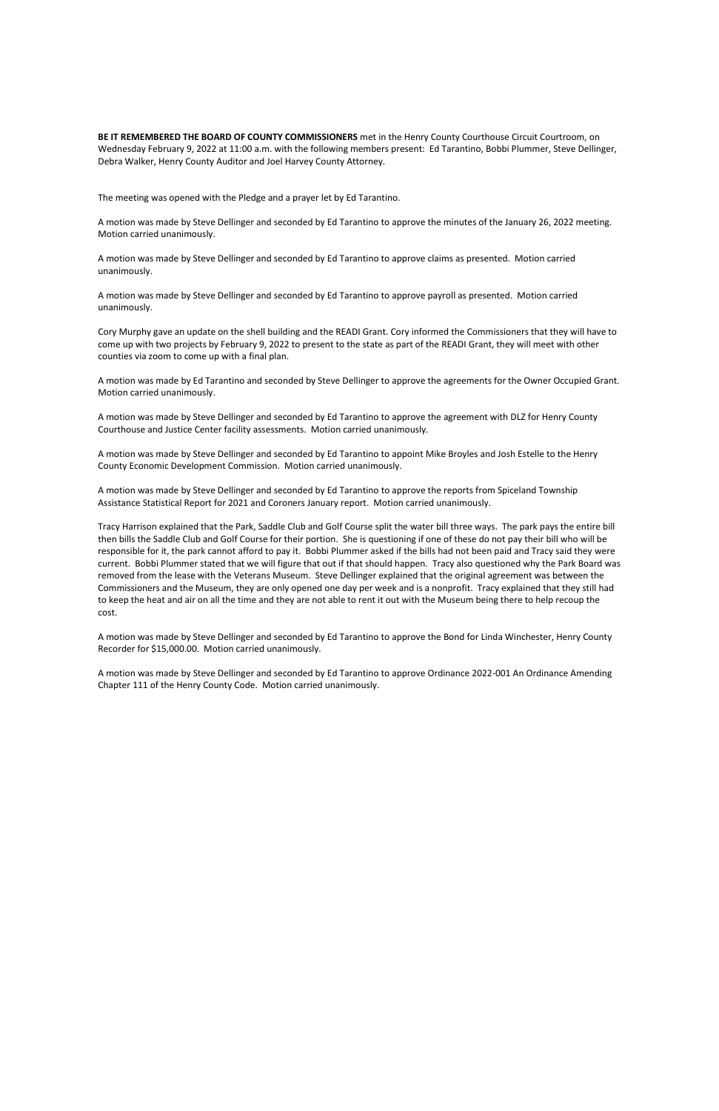**BE IT REMEMBERED THE BOARD OF COUNTY COMMISSIONERS** met in the Henry County Courthouse Circuit Courtroom, on Wednesday February 9, 2022 at 11:00 a.m. with the following members present: Ed Tarantino, Bobbi Plummer, Steve Dellinger, Debra Walker, Henry County Auditor and Joel Harvey County Attorney.

The meeting was opened with the Pledge and a prayer let by Ed Tarantino.

A motion was made by Steve Dellinger and seconded by Ed Tarantino to approve the minutes of the January 26, 2022 meeting. Motion carried unanimously.

A motion was made by Steve Dellinger and seconded by Ed Tarantino to approve claims as presented. Motion carried unanimously.

A motion was made by Steve Dellinger and seconded by Ed Tarantino to approve payroll as presented. Motion carried unanimously.

Cory Murphy gave an update on the shell building and the READI Grant. Cory informed the Commissioners that they will have to come up with two projects by February 9, 2022 to present to the state as part of the READI Grant, they will meet with other counties via zoom to come up with a final plan.

A motion was made by Ed Tarantino and seconded by Steve Dellinger to approve the agreements for the Owner Occupied Grant. Motion carried unanimously.

A motion was made by Steve Dellinger and seconded by Ed Tarantino to approve the agreement with DLZ for Henry County Courthouse and Justice Center facility assessments. Motion carried unanimously.

A motion was made by Steve Dellinger and seconded by Ed Tarantino to appoint Mike Broyles and Josh Estelle to the Henry County Economic Development Commission. Motion carried unanimously.

A motion was made by Steve Dellinger and seconded by Ed Tarantino to approve the reports from Spiceland Township Assistance Statistical Report for 2021 and Coroners January report. Motion carried unanimously.

Tracy Harrison explained that the Park, Saddle Club and Golf Course split the water bill three ways. The park pays the entire bill then bills the Saddle Club and Golf Course for their portion. She is questioning if one of these do not pay their bill who will be responsible for it, the park cannot afford to pay it. Bobbi Plummer asked if the bills had not been paid and Tracy said they were current. Bobbi Plummer stated that we will figure that out if that should happen. Tracy also questioned why the Park Board was removed from the lease with the Veterans Museum. Steve Dellinger explained that the original agreement was between the Commissioners and the Museum, they are only opened one day per week and is a nonprofit. Tracy explained that they still had to keep the heat and air on all the time and they are not able to rent it out with the Museum being there to help recoup the cost.

A motion was made by Steve Dellinger and seconded by Ed Tarantino to approve the Bond for Linda Winchester, Henry County Recorder for \$15,000.00. Motion carried unanimously.

A motion was made by Steve Dellinger and seconded by Ed Tarantino to approve Ordinance 2022-001 An Ordinance Amending Chapter 111 of the Henry County Code. Motion carried unanimously.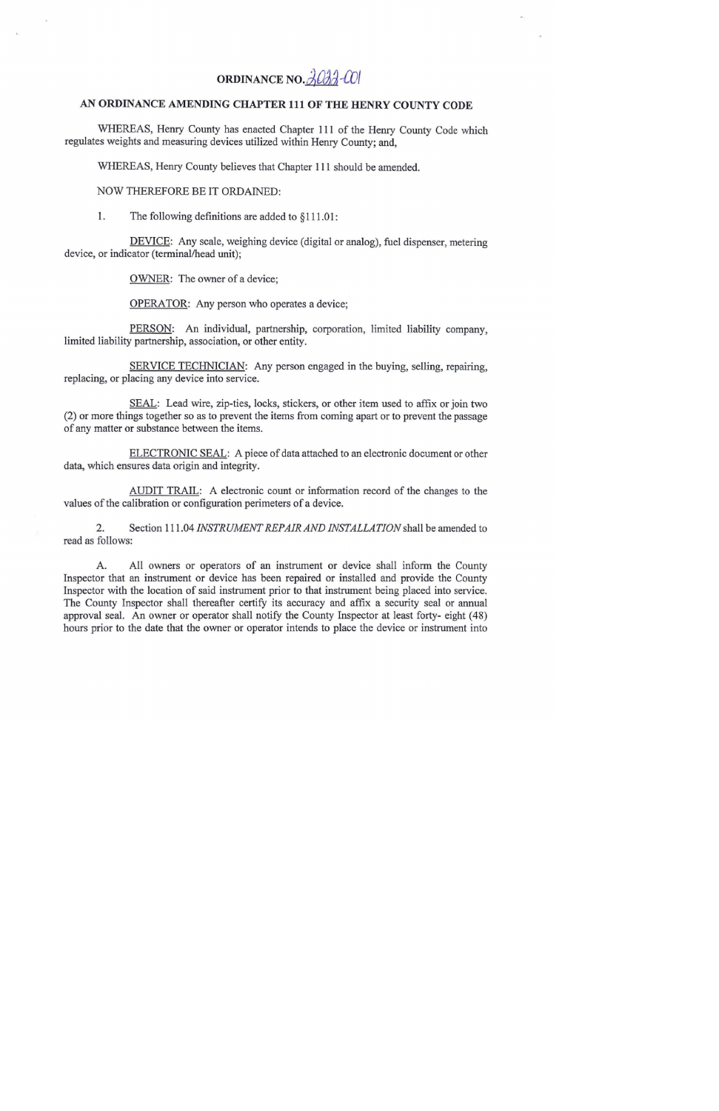## ORDINANCE NO. 3033-001

## AN ORDINANCE AMENDING CHAPTER 111 OF THE HENRY COUNTY CODE

WHEREAS, Henry County has enacted Chapter 111 of the Henry County Code which regulates weights and measuring devices utilized within Henry County; and,

WHEREAS, Henry County believes that Chapter 111 should be amended.

## NOW THEREFORE BE IT ORDAINED:

The following definitions are added to §111.01: 1.

DEVICE: Any scale, weighing device (digital or analog), fuel dispenser, metering device, or indicator (terminal/head unit);

OWNER: The owner of a device;

OPERATOR: Any person who operates a device;

PERSON: An individual, partnership, corporation, limited liability company, limited liability partnership, association, or other entity.

SERVICE TECHNICIAN: Any person engaged in the buying, selling, repairing, replacing, or placing any device into service.

SEAL: Lead wire, zip-ties, locks, stickers, or other item used to affix or join two (2) or more things together so as to prevent the items from coming apart or to prevent the passage of any matter or substance between the items.

ELECTRONIC SEAL: A piece of data attached to an electronic document or other data, which ensures data origin and integrity.

AUDIT TRAIL: A electronic count or information record of the changes to the values of the calibration or configuration perimeters of a device.

 $2.$ Section 111.04 INSTRUMENT REPAIR AND INSTALLATION shall be amended to read as follows:

A. All owners or operators of an instrument or device shall inform the County Inspector that an instrument or device has been repaired or installed and provide the County Inspector with the location of said instrument prior to that instrument being placed into service. The County Inspector shall thereafter certify its accuracy and affix a security seal or annual approval seal. An owner or operator shall notify the County Inspector at least forty- eight (48) hours prior to the date that the owner or operator intends to place the device or instrument into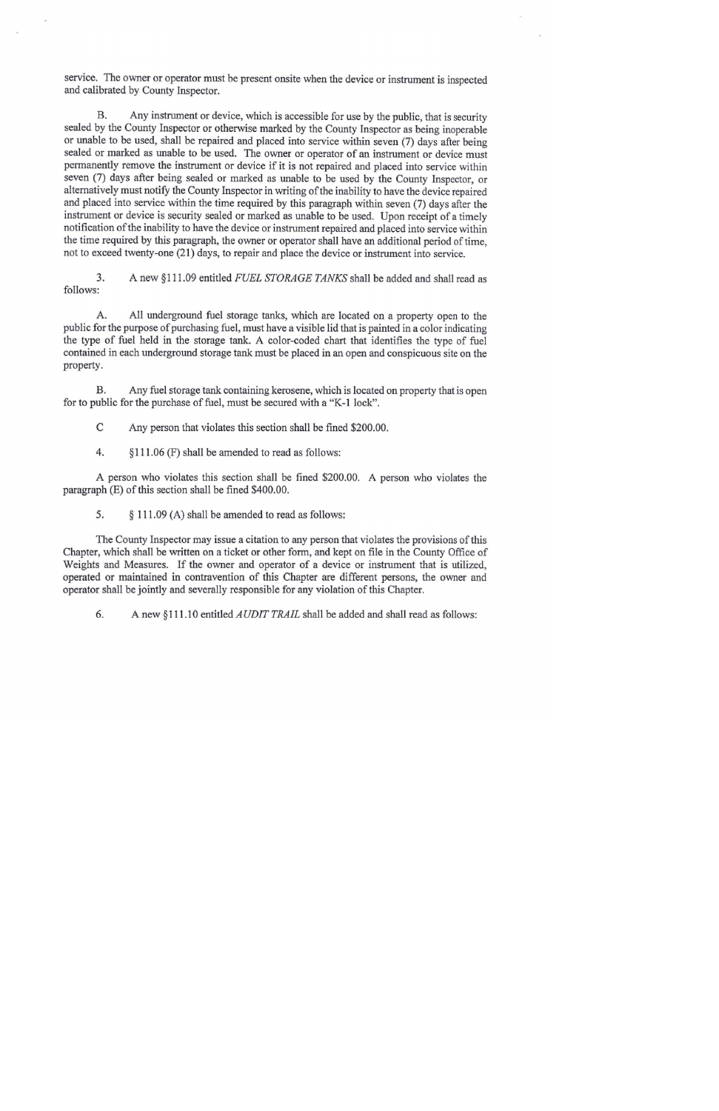service. The owner or operator must be present onsite when the device or instrument is inspected and calibrated by County Inspector.

Any instrument or device, which is accessible for use by the public, that is security **B.** sealed by the County Inspector or otherwise marked by the County Inspector as being inoperable or unable to be used, shall be repaired and placed into service within seven (7) days after being sealed or marked as unable to be used. The owner or operator of an instrument or device must permanently remove the instrument or device if it is not repaired and placed into service within seven (7) days after being sealed or marked as unable to be used by the County Inspector, or alternatively must notify the County Inspector in writing of the inability to have the device repaired and placed into service within the time required by this paragraph within seven (7) days after the instrument or device is security sealed or marked as unable to be used. Upon receipt of a timely notification of the inability to have the device or instrument repaired and placed into service within the time required by this paragraph, the owner or operator shall have an additional period of time, not to exceed twenty-one (21) days, to repair and place the device or instrument into service.

3. A new §111.09 entitled FUEL STORAGE TANKS shall be added and shall read as follows:

All underground fuel storage tanks, which are located on a property open to the А. public for the purpose of purchasing fuel, must have a visible lid that is painted in a color indicating the type of fuel held in the storage tank. A color-coded chart that identifies the type of fuel contained in each underground storage tank must be placed in an open and conspicuous site on the property.

Any fuel storage tank containing kerosene, which is located on property that is open **B.** for to public for the purchase of fuel, must be secured with a "K-1 lock".

- C Any person that violates this section shall be fined \$200.00.
- 4. §111.06 (F) shall be amended to read as follows:

A person who violates this section shall be fined \$200.00. A person who violates the paragraph (E) of this section shall be fined \$400.00.

5. § 111.09 (A) shall be amended to read as follows:

The County Inspector may issue a citation to any person that violates the provisions of this Chapter, which shall be written on a ticket or other form, and kept on file in the County Office of Weights and Measures. If the owner and operator of a device or instrument that is utilized, operated or maintained in contravention of this Chapter are different persons, the owner and operator shall be jointly and severally responsible for any violation of this Chapter.

6. A new §111.10 entitled *AUDIT TRAIL* shall be added and shall read as follows: